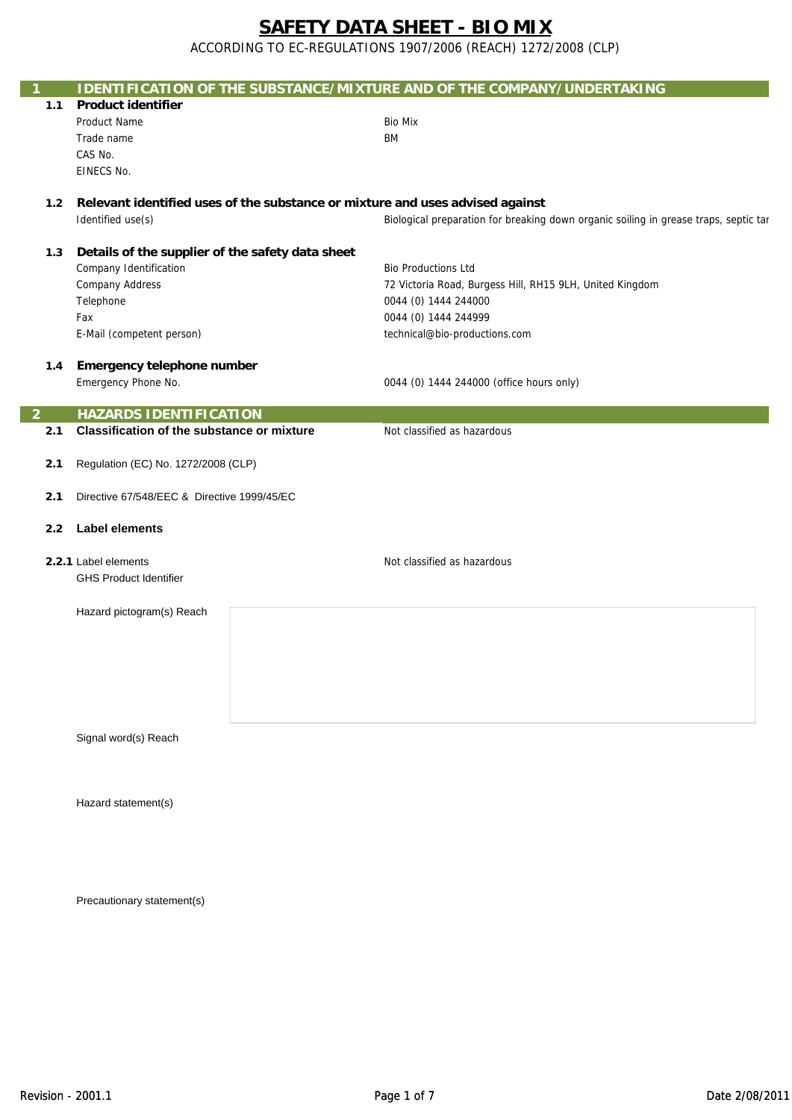ACCORDING TO EC-REGULATIONS 1907/2006 (REACH) 1272/2008 (CLP)

|                  |                                                   | <b>IDENTIFICATION OF THE SUBSTANCE/MIXTURE AND OF THE COMPANY/UNDERTAKING</b>        |  |
|------------------|---------------------------------------------------|--------------------------------------------------------------------------------------|--|
| 1.1              | <b>Product identifier</b>                         |                                                                                      |  |
|                  | Product Name                                      | <b>Bio Mix</b>                                                                       |  |
|                  | Trade name                                        | <b>BM</b>                                                                            |  |
|                  | CAS No.                                           |                                                                                      |  |
|                  | EINECS No.                                        |                                                                                      |  |
| 1.2 <sub>1</sub> |                                                   | Relevant identified uses of the substance or mixture and uses advised against        |  |
|                  | Identified use(s)                                 | Biological preparation for breaking down organic soiling in grease traps, septic tar |  |
|                  |                                                   |                                                                                      |  |
| 1.3              | Details of the supplier of the safety data sheet  |                                                                                      |  |
|                  | Company Identification                            | <b>Bio Productions Ltd</b>                                                           |  |
|                  | <b>Company Address</b>                            | 72 Victoria Road, Burgess Hill, RH15 9LH, United Kingdom                             |  |
|                  | Telephone                                         | 0044 (0) 1444 244000                                                                 |  |
|                  | Fax                                               | 0044 (0) 1444 244999                                                                 |  |
|                  | E-Mail (competent person)                         | technical@bio-productions.com                                                        |  |
|                  |                                                   |                                                                                      |  |
| 1.4              | <b>Emergency telephone number</b>                 |                                                                                      |  |
|                  | Emergency Phone No.                               | 0044 (0) 1444 244000 (office hours only)                                             |  |
|                  |                                                   |                                                                                      |  |
| 2                | <b>HAZARDS IDENTIFICATION</b>                     |                                                                                      |  |
| 2.1              | <b>Classification of the substance or mixture</b> | Not classified as hazardous                                                          |  |
|                  |                                                   |                                                                                      |  |
| 2.1              | Regulation (EC) No. 1272/2008 (CLP)               |                                                                                      |  |
| 2.1              | Directive 67/548/EEC & Directive 1999/45/EC       |                                                                                      |  |
|                  |                                                   |                                                                                      |  |
| 2.2              | <b>Label elements</b>                             |                                                                                      |  |
|                  |                                                   |                                                                                      |  |
|                  | 2.2.1 Label elements                              | Not classified as hazardous                                                          |  |
|                  | <b>GHS Product Identifier</b>                     |                                                                                      |  |
|                  |                                                   |                                                                                      |  |
|                  | Hazard pictogram(s) Reach                         |                                                                                      |  |
|                  |                                                   |                                                                                      |  |
|                  |                                                   |                                                                                      |  |
|                  |                                                   |                                                                                      |  |
|                  |                                                   |                                                                                      |  |
|                  |                                                   |                                                                                      |  |
|                  |                                                   |                                                                                      |  |
|                  | Signal word(s) Reach                              |                                                                                      |  |
|                  |                                                   |                                                                                      |  |
|                  |                                                   |                                                                                      |  |
|                  |                                                   |                                                                                      |  |
|                  | Hazard statement(s)                               |                                                                                      |  |
|                  |                                                   |                                                                                      |  |
|                  |                                                   |                                                                                      |  |
|                  |                                                   |                                                                                      |  |

Precautionary statement(s)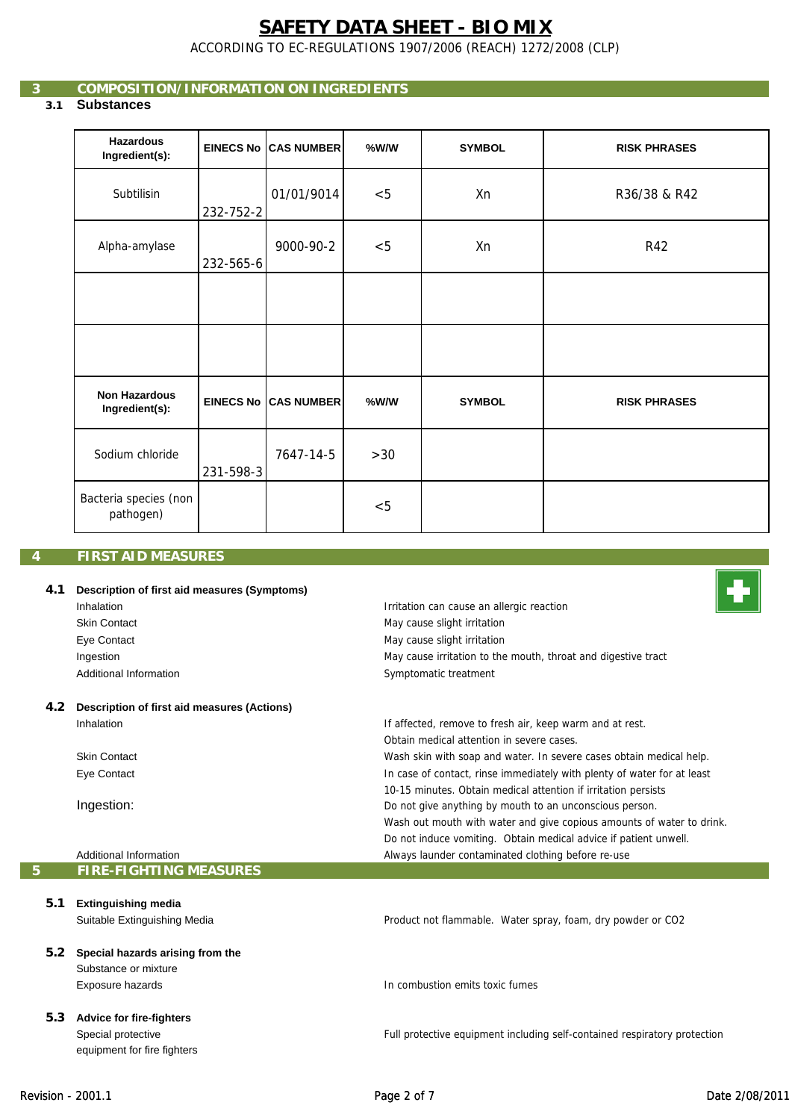ACCORDING TO EC-REGULATIONS 1907/2006 (REACH) 1272/2008 (CLP)

# **3 COMPOSITION/INFORMATION ON INGREDIENTS**

# **3.1 Substances**

| <b>Hazardous</b><br>Ingredient(s):     |           | <b>EINECS No ICAS NUMBER</b> | %W/W | <b>SYMBOL</b> | <b>RISK PHRASES</b> |
|----------------------------------------|-----------|------------------------------|------|---------------|---------------------|
| Subtilisin                             | 232-752-2 | 01/01/9014                   | < 5  | Xn            | R36/38 & R42        |
| Alpha-amylase                          | 232-565-6 | 9000-90-2                    | < 5  | Xn            | R42                 |
|                                        |           |                              |      |               |                     |
|                                        |           |                              |      |               |                     |
| <b>Non Hazardous</b><br>Ingredient(s): |           | <b>EINECS No CAS NUMBER</b>  | %W/W | <b>SYMBOL</b> | <b>RISK PHRASES</b> |
| Sodium chloride                        | 231-598-3 | 7647-14-5                    | >30  |               |                     |
| Bacteria species (non<br>pathogen)     |           |                              | < 5  |               |                     |

# **4 FIRST AID MEASURES**

#### **4.1 Description of first aid measures (Symptoms)** Inhalation Skin Contact Eye Contact Ingestion Additional Information **4.2 Description of first aid measures (Actions)** Inhalation Skin Contact Irritation can cause an allergic reaction May cause slight irritation Symptomatic treatment May cause slight irritation If affected, remove to fresh air, keep warm and at rest. May cause irritation to the mouth, throat and digestive tract Wash skin with soap and water. In severe cases obtain medical help. Obtain medical attention in severe cases.

In case of contact, rinse immediately with plenty of water for at least

Wash out mouth with water and give copious amounts of water to drink. Do not induce vomiting. Obtain medical advice if patient unwell.

10-15 minutes. Obtain medical attention if irritation persists Do not give anything by mouth to an unconscious person.

Always launder contaminated clothing before re-use

Eye Contact

Ingestion:

Additional Information **5 FIRE-FIGHTING MEASURES**

equipment for fire fighters

| 5.1 | <b>Extinguishing media</b>       |                                                                           |
|-----|----------------------------------|---------------------------------------------------------------------------|
|     | Suitable Extinguishing Media     | Product not flammable. Water spray, foam, dry powder or CO2               |
| 5.2 | Special hazards arising from the |                                                                           |
|     | Substance or mixture             |                                                                           |
|     | Exposure hazards                 | In combustion emits toxic fumes                                           |
| 5.3 | <b>Advice for fire-fighters</b>  |                                                                           |
|     | Special protective               | Full protective equipment including self-contained respiratory protection |

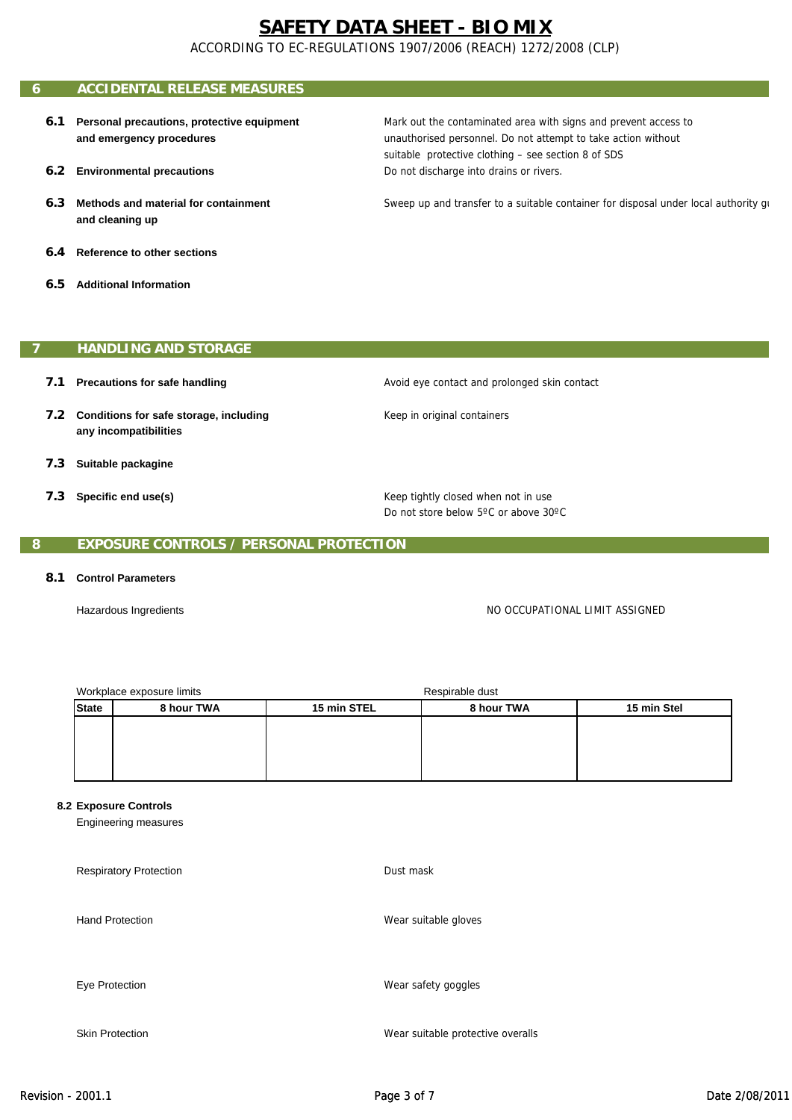ACCORDING TO EC-REGULATIONS 1907/2006 (REACH) 1272/2008 (CLP)

# **6 ACCIDENTAL RELEASE MEASURES**

- **6.1 Personal precautions, protective equipment and emergency procedures**
- **6.2 Environmental precautions**
- **6.3 Methods and material for containment and cleaning up**
- **6.4 Reference to other sections**
- **6.5 Additional Information**

## **7 HANDLING AND STORAGE**

- **7.1 Precautions for safe handling**
- **7.2 Conditions for safe storage, including any incompatibilities**
- **7.3 Suitable packagine**
- **7.3 Specific end use(s)**

suitable protective clothing – see section 8 of SDS

Mark out the contaminated area with signs and prevent access to

unauthorised personnel. Do not attempt to take action without

Sweep up and transfer to a suitable container for disposal under local authority gu

Do not discharge into drains or rivers.

Avoid eye contact and prolonged skin contact

Keep in original containers

Keep tightly closed when not in use Do not store below 5ºC or above 30ºC

## **8 EXPOSURE CONTROLS / PERSONAL PROTECTION**

### **8.1 Control Parameters**

Hazardous Ingredients

NO OCCUPATIONAL LIMIT ASSIGNED

| Workplace exposure limits |            |             | Respirable dust |             |  |
|---------------------------|------------|-------------|-----------------|-------------|--|
| <b>State</b>              | 8 hour TWA | 15 min STEL | 8 hour TWA      | 15 min Stel |  |
|                           |            |             |                 |             |  |
|                           |            |             |                 |             |  |
|                           |            |             |                 |             |  |
|                           |            |             |                 |             |  |

#### **8.2 Exposure Controls**

Engineering measures

Respiratory Protection Hand Protection Eye Protection Skin Protection Wear suitable gloves Wear safety goggles Wear suitable protective overalls Dust mask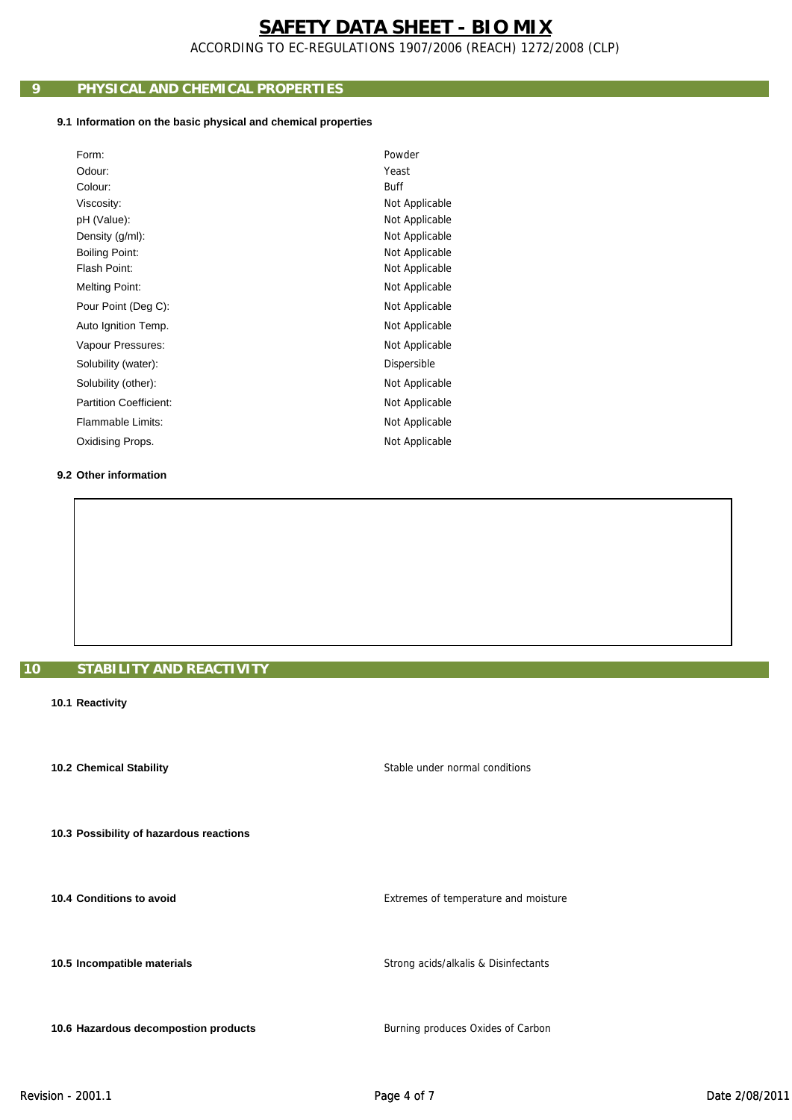ACCORDING TO EC-REGULATIONS 1907/2006 (REACH) 1272/2008 (CLP)

# **9 PHYSICAL AND CHEMICAL PROPERTIES**

## **9.1 Information on the basic physical and chemical properties**

| Form:                         | Powder         |
|-------------------------------|----------------|
| Odour:                        | Yeast          |
| Colour:                       | <b>Buff</b>    |
| Viscosity:                    | Not Applicable |
| pH (Value):                   | Not Applicable |
| Density (g/ml):               | Not Applicable |
| <b>Boiling Point:</b>         | Not Applicable |
| Flash Point:                  | Not Applicable |
| <b>Melting Point:</b>         | Not Applicable |
| Pour Point (Deg C):           | Not Applicable |
| Auto Ignition Temp.           | Not Applicable |
| Vapour Pressures:             | Not Applicable |
| Solubility (water):           | Dispersible    |
| Solubility (other):           | Not Applicable |
| <b>Partition Coefficient:</b> | Not Applicable |
| Flammable Limits:             | Not Applicable |
| Oxidising Props.              | Not Applicable |

## **9.2 Other information**

# **10 STABILITY AND REACTIVITY**

### **10.1 Reactivity**

 **10.2 Chemical Stability**

 **10.3 Possibility of hazardous reactions**

 **10.4 Conditions to avoid**

 **10.5 Incompatible materials**

 **10.6 Hazardous decompostion products**

Extremes of temperature and moisture

Stable under normal conditions

Strong acids/alkalis & Disinfectants

Burning produces Oxides of Carbon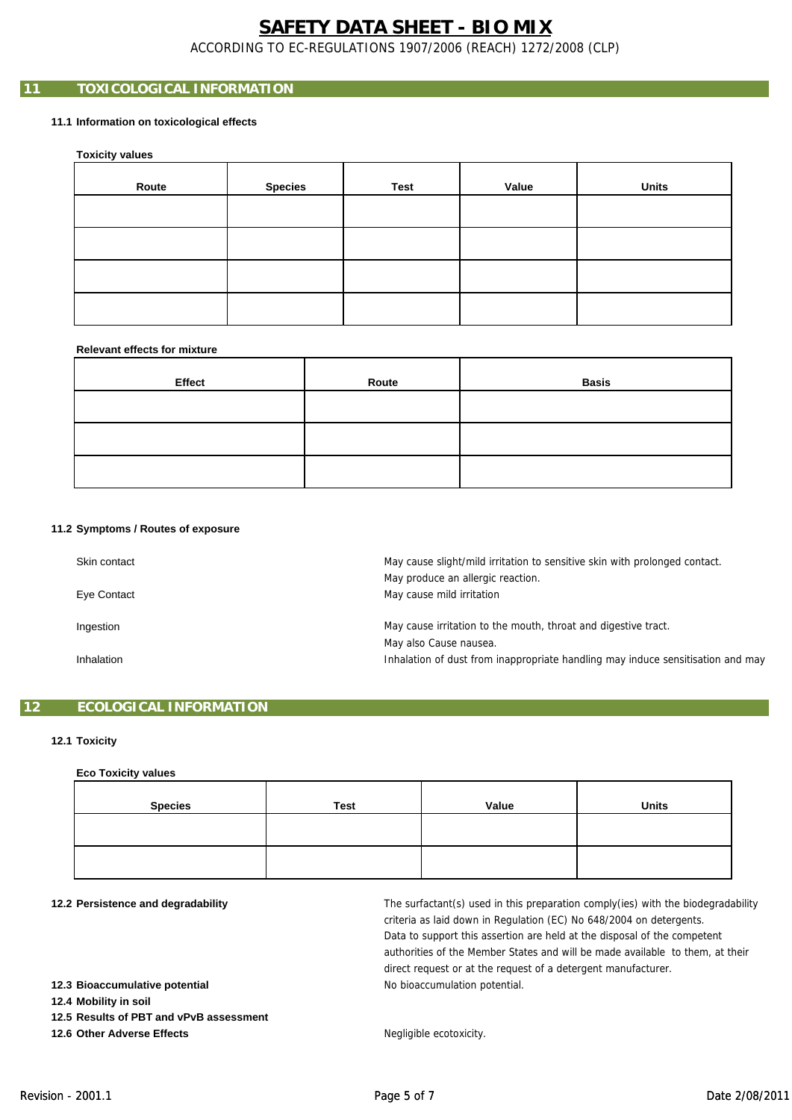ACCORDING TO EC-REGULATIONS 1907/2006 (REACH) 1272/2008 (CLP)

# **11 TOXICOLOGICAL INFORMATION**

## **11.1 Information on toxicological effects**

 **Toxicity values**

| Route | <b>Species</b> | Test | Value | <b>Units</b> |
|-------|----------------|------|-------|--------------|
|       |                |      |       |              |
|       |                |      |       |              |
|       |                |      |       |              |
|       |                |      |       |              |

#### **Relevant effects for mixture**

| Effect | Route | <b>Basis</b> |
|--------|-------|--------------|
|        |       |              |
|        |       |              |
|        |       |              |

#### **11.2 Symptoms / Routes of exposure**

| Skin contact | May cause slight/mild irritation to sensitive skin with prolonged contact.<br>May produce an allergic reaction. |
|--------------|-----------------------------------------------------------------------------------------------------------------|
| Eye Contact  | May cause mild irritation                                                                                       |
| Ingestion    | May cause irritation to the mouth, throat and digestive tract.<br>May also Cause nausea.                        |
| Inhalation   | Inhalation of dust from inappropriate handling may induce sensitisation and may                                 |

## **12 ECOLOGICAL INFORMATION**

### **12.1 Toxicity**

#### **Eco Toxicity values**

| <b>Species</b> | <b>Test</b> | Value | <b>Units</b> |
|----------------|-------------|-------|--------------|
|                |             |       |              |
|                |             |       |              |

#### **12.2 Persistence and degradability**

No bioaccumulation potential. direct request or at the request of a detergent manufacturer. The surfactant(s) used in this preparation comply(ies) with the biodegradability criteria as laid down in Regulation (EC) No 648/2004 on detergents. Data to support this assertion are held at the disposal of the competent authorities of the Member States and will be made available to them, at their

 **12.3 Bioaccumulative potential**

 **12.4 Mobility in soil**

 **12.5 Results of PBT and vPvB assessment**

 **12.6 Other Adverse Effects**

Negligible ecotoxicity.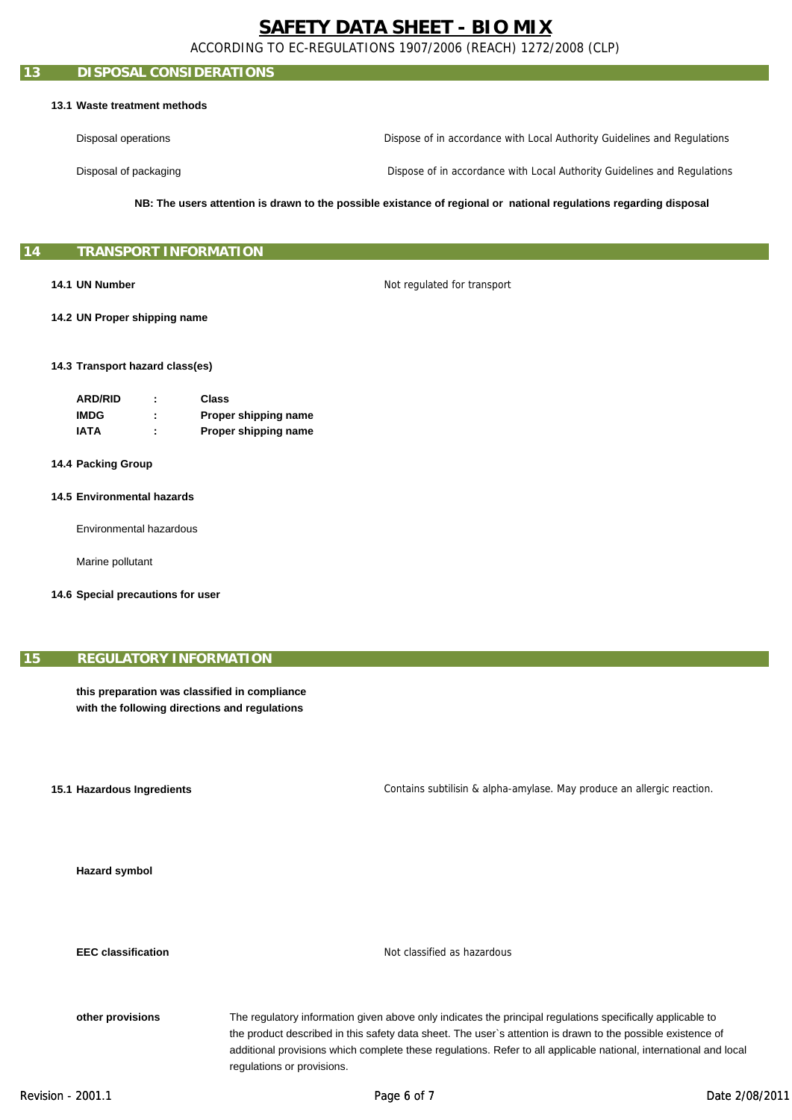ACCORDING TO EC-REGULATIONS 1907/2006 (REACH) 1272/2008 (CLP)

## **13 DISPOSAL CONSIDERATIONS**

#### **13.1 Waste treatment methods**

Disposal operations Dispose of in accordance with Local Authority Guidelines and Regulations

Disposal of packaging

Dispose of in accordance with Local Authority Guidelines and Regulations

**NB: The users attention is drawn to the possible existance of regional or national regulations regarding disposal**

### **15 TRANSPORT INFORMATION**

### **14.1 UN Number**

Not regulated for transport

 **14.2 UN Proper shipping name**

#### **14.3 Transport hazard class(es)**

| <b>ARD/RID</b> | ٠ | Class                |
|----------------|---|----------------------|
| <b>IMDG</b>    | ٠ | Proper shipping name |
| IATA           | ٠ | Proper shipping name |

- **14.4 Packing Group**
- **14.5 Environmental hazards**

Environmental hazardous

Marine pollutant

 **14.6 Special precautions for user**

## **15 REGULATORY INFORMATION**

**this preparation was classified in compliance with the following directions and regulations**

**15.1 Hazardous Ingredients**

Contains subtilisin & alpha-amylase. May produce an allergic reaction.

 **Hazard symbol**

 **EEC classification**

Not classified as hazardous

 **other provisions**

The regulatory information given above only indicates the principal regulations specifically applicable to the product described in this safety data sheet. The user`s attention is drawn to the possible existence of additional provisions which complete these regulations. Refer to all applicable national, international and local regulations or provisions.